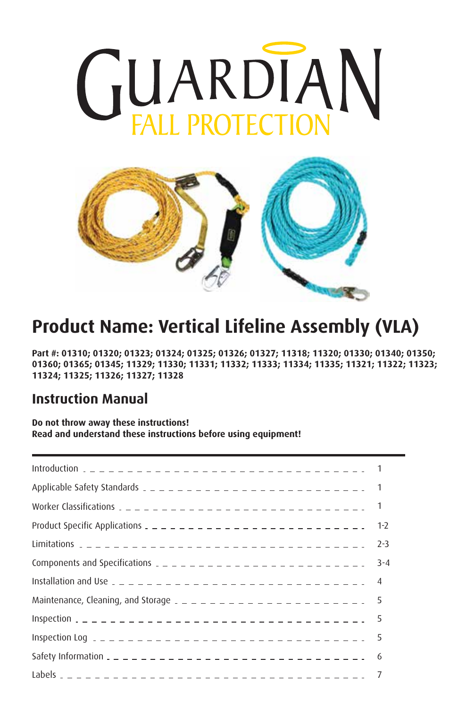

# **Product Name: Vertical Lifeline Assembly (VLA)**

**Part #: 01310; 01320; 01323; 01324; 01325; 01326; 01327; 11318; 11320; 01330; 01340; 01350; 01360; 01365; 01345; 11329; 11330; 11331; 11332; 11333; 11334; 11335; 11321; 11322; 11323; 11324; 11325; 11326; 11327; 11328**

#### **Instruction Manual**

**Do not throw away these instructions! Read and understand these instructions before using equipment!**

| Product Specific Applications $2 - 2 - 2 - 2 - 2 - 2 - 2 - 2 - 2 - 2 - 2 - 2$ | $1 - 2$ |
|-------------------------------------------------------------------------------|---------|
|                                                                               | $2 - 3$ |
|                                                                               | $3 - 4$ |
|                                                                               |         |
| Maintenance, Cleaning, and Storage $2 - 2 - 2 - 2 - 2 - 2 - 2 - 2 - 5$        |         |
|                                                                               |         |
|                                                                               |         |
|                                                                               |         |
|                                                                               |         |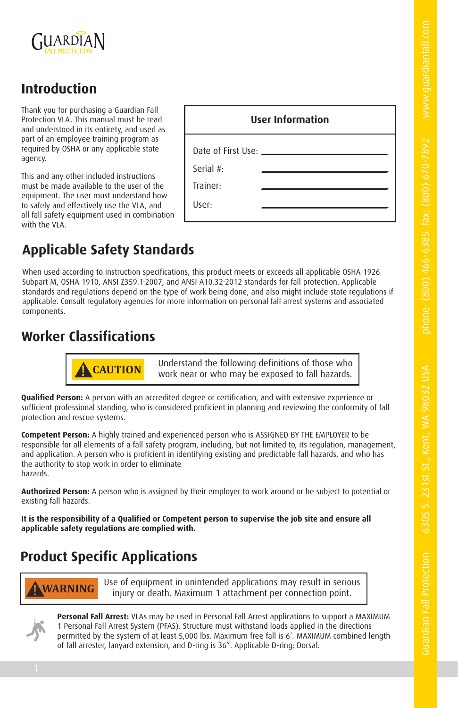

#### **Introduction**

Thank you for purchasing a Guardian Fall Protection VLA. This manual must be read and understood in its entirety, and used as part of an employee training program as required by OSHA or any applicable state agency.

This and any other included instructions must be made available to the user of the equipment. The user must understand how to safely and effectively use the VLA, and all fall safety equipment used in combination with the VLA.

| <b>User Information</b> |  |
|-------------------------|--|
| of First Use: _         |  |

Serial #:

Trainer:

User:

Date

# **Applicable Safety Standards**

When used according to instruction specifications, this product meets or exceeds all applicable OSHA 1926 Subpart M, OSHA 1910, ANSI Z359.1-2007, and ANSI A10.32-2012 standards for fall protection. Applicable standards and regulations depend on the type of work being done, and also might include state regulations if applicable. Consult regulatory agencies for more information on personal fall arrest systems and associated components.

#### **Worker Classifications**



**! CAUTION** Understand the following definitions of those who work near or who may be exposed to fall hazards.

**Qualified Person:** A person with an accredited degree or certification, and with extensive experience or sufficient professional standing, who is considered proficient in planning and reviewing the conformity of fall protection and rescue systems.

**Extramage of the proon and experienced person who is ASSIGNED BY THE EMPLOYER to be**<br>
for all elements of a fall safety program, including, but not limited to, its regulation, management,<br>
tivito stop work in order to eli **Competent Person:** A highly trained and experienced person who is ASSIGNED BY THE EMPLOYER to be responsible for all elements of a fall safety program, including, but not limited to, its regulation, management, and application. A person who is proficient in identifying existing and predictable fall hazards, and who has the authority to stop work in order to eliminate hazards.

**Authorized Person:** A person who is assigned by their employer to work around or be subject to potential or existing fall hazards.

**It is the responsibility of a Qualified or Competent person to supervise the job site and ensure all applicable safety regulations are complied with.**

#### **Product Specific Applications**

**! WARNING** Use of equipment in unintended applications may result in serious injury or death. Maximum 1 attachment per connection point.



**Personal Fall Arrest:** VLAs may be used in Personal Fall Arrest applications to support a MAXIMUM 1 Personal Fall Arrest System (PFAS). Structure must withstand loads applied in the directions permitted by the system of at least 5,000 lbs. Maximum free fall is 6'. MAXIMUM combined length of fall arrester, lanyard extension, and D-ring is 36". Applicable D-ring: Dorsal.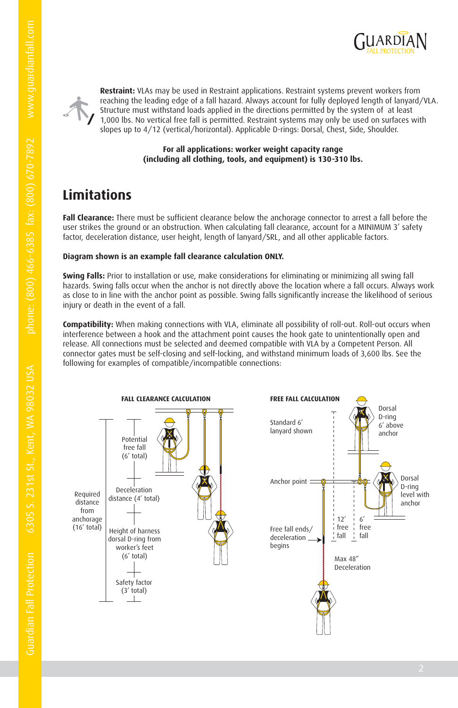



**Restraint:** VLAs may be used in Restraint applications. Restraint systems prevent workers from reaching the leading edge of a fall hazard. Always account for fully deployed length of lanyard/VLA. Structure must withstand loads applied in the directions permitted by the system of at least 1,000 lbs. No vertical free fall is permitted. Restraint systems may only be used on surfaces with slopes up to 4/12 (vertical/horizontal). Applicable D-rings: Dorsal, Chest, Side, Shoulder.

> **For all applications: worker weight capacity range (including all clothing, tools, and equipment) is 130-310 lbs.**

#### **Limitations**

**Fall Clearance:** There must be sufficient clearance below the anchorage connector to arrest a fall before the user strikes the ground or an obstruction. When calculating fall clearance, account for a MINIMUM 3' safety factor, deceleration distance, user height, length of lanyard/SRL, and all other applicable factors.

#### **Diagram shown is an example fall clearance calculation ONLY.**

**Swing Falls:** Prior to installation or use, make considerations for eliminating or minimizing all swing fall hazards. Swing falls occur when the anchor is not directly above the location where a fall occurs. Always work as close to in line with the anchor point as possible. Swing falls significantly increase the likelihood of serious injury or death in the event of a fall.

**Compatibility:** When making connections with VLA, eliminate all possibility of roll-out. Roll-out occurs when interference between a hook and the attachment point causes the hook gate to unintentionally open and release. All connections must be selected and deemed compatible with VLA by a Competent Person. All connector gates must be self-closing and self-locking, and withstand minimum loads of 3,600 lbs. See the following for examples of compatible/incompatible connections:

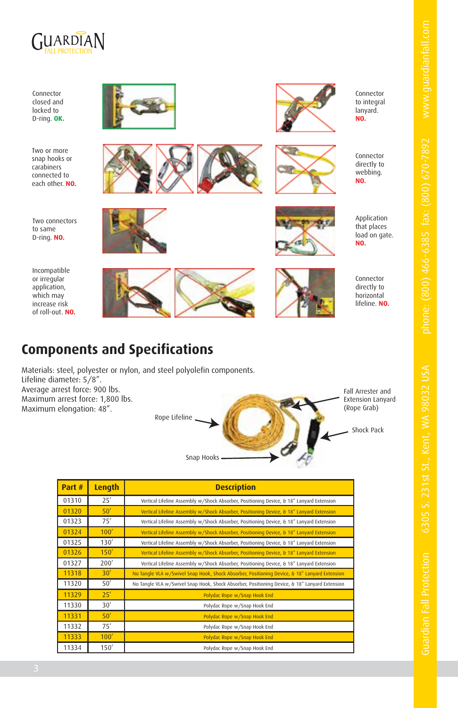

Connector closed and locked to D-ring. **OK.**

Two or more snap hooks or carabiners connected to each other. **NO.**

Two connectors to same D-ring. **NO.**

Incompatible or irregular application, which may increase risk of roll-out. **NO.**



## **Components and Specifications**

Materials: steel, polyester or nylon, and steel polyolefin components. Lifeline diameter: 5/8". Average arrest force: 900 lbs. Maximum arrest force: 1,800 lbs. Maximum elongation: 48". Rope Lifeline

Fall Arrester and Extension Lanyard (Rope Grab)

Shock Pack

| Part # | Length | <b>Description</b>                                                                            |
|--------|--------|-----------------------------------------------------------------------------------------------|
| 01310  | 25'    | Vertical Lifeline Assembly w/Shock Absorber, Positioning Device, & 18" Lanyard Extension      |
| 01320  | 50'    | Vertical Lifeline Assembly w/Shock Absorber, Positioning Device, & 18" Lanyard Extension      |
| 01323  | 75'    | Vertical Lifeline Assembly w/Shock Absorber, Positioning Device, & 18" Lanyard Extension      |
| 01324  | 100'   | Vertical Lifeline Assembly w/Shock Absorber, Positioning Device, & 18" Lanyard Extension      |
| 01325  | 130'   | Vertical Lifeline Assembly w/Shock Absorber, Positioning Device, & 18" Lanyard Extension      |
| 01326  | 150'   | Vertical Lifeline Assembly w/Shock Absorber, Positioning Device, & 18" Lanyard Extension      |
| 01327  | 200'   | Vertical Lifeline Assembly w/Shock Absorber, Positioning Device, & 18" Lanyard Extension      |
| 11318  | 30'    | No Tangle VLA w/Swivel Snap Hook, Shock Absorber, Positioning Device, & 18" Lanyard Extension |
| 11320  | 50'    | No Tangle VLA w/Swivel Snap Hook, Shock Absorber, Positioning Device, & 18" Lanyard Extension |
| 11329  | 25'    | Polydac Rope w/Snap Hook End                                                                  |
| 11330  | 30'    | Polydac Rope w/Snap Hook End                                                                  |
| 11331  | 50'    | Polydac Rope w/Snap Hook End                                                                  |
| 11332  | 75'    | Polydac Rope w/Snap Hook End                                                                  |
| 11333  | 100'   | Polydac Rope w/Snap Hook End                                                                  |
| 11334  | 150'   | Polydac Rope w/Snap Hook End                                                                  |

Snap Hooks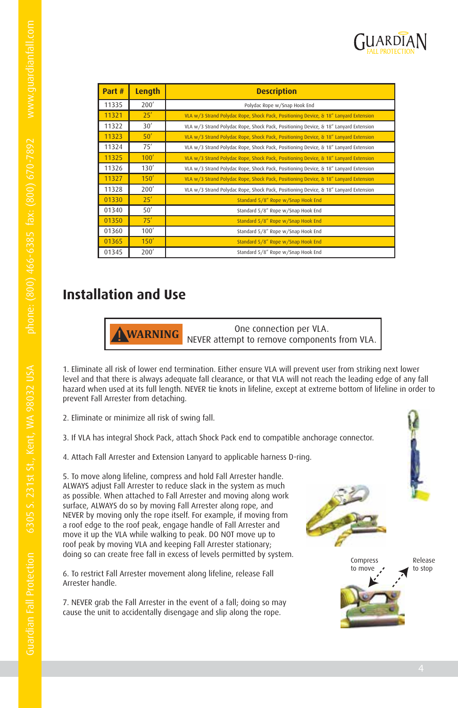

| Part # | <b>Length</b> | <b>Description</b>                                                                   |
|--------|---------------|--------------------------------------------------------------------------------------|
| 11335  | 200'          | Polydac Rope w/Snap Hook End                                                         |
| 11321  | 25'           | VLA w/3 Strand Polydac Rope, Shock Pack, Positioning Device, & 18" Lanyard Extension |
| 11322  | 30'           | VLA w/3 Strand Polydac Rope, Shock Pack, Positioning Device, & 18" Lanyard Extension |
| 11323  | 50'           | VLA w/3 Strand Polydac Rope, Shock Pack, Positioning Device, & 18" Lanyard Extension |
| 11324  | 75'           | VLA w/3 Strand Polydac Rope, Shock Pack, Positioning Device, & 18" Lanyard Extension |
| 11325  | 100'          | VLA w/3 Strand Polydac Rope, Shock Pack, Positioning Device, & 18" Lanyard Extension |
| 11326  | 130'          | VLA w/3 Strand Polydac Rope, Shock Pack, Positioning Device, & 18" Lanyard Extension |
| 11327  | 150'          | VLA w/3 Strand Polydac Rope, Shock Pack, Positioning Device, & 18" Lanyard Extension |
| 11328  | 200'          | VLA w/3 Strand Polydac Rope, Shock Pack, Positioning Device, & 18" Lanyard Extension |
| 01330  | 25'           | Standard 5/8" Rope w/Snap Hook End                                                   |
| 01340  | 50'           | Standard 5/8" Rope w/Snap Hook End                                                   |
| 01350  | 75'           | Standard 5/8" Rope w/Snap Hook End                                                   |
| 01360  | 100'          | Standard 5/8" Rope w/Snap Hook End                                                   |
| 01365  | 150'          | Standard 5/8" Rope w/Snap Hook End                                                   |
| 01345  | 200'          | Standard 5/8" Rope w/Snap Hook End                                                   |

#### **Installation and Use**

**WARNING** Done connection per VLA.<br>NEVER attempt to remove components from VLA.

1. Eliminate all risk of lower end termination. Either ensure VLA will prevent user from striking next lower level and that there is always adequate fall clearance, or that VLA will not reach the leading edge of any fall hazard when used at its full length. NEVER tie knots in lifeline, except at extreme bottom of lifeline in order to prevent Fall Arrester from detaching.

- 2. Eliminate or minimize all risk of swing fall.
- 3. If VLA has integral Shock Pack, attach Shock Pack end to compatible anchorage connector.
- 4. Attach Fall Arrester and Extension Lanyard to applicable harness D-ring.

5. To move along lifeline, compress and hold Fall Arrester handle. ALWAYS adjust Fall Arrester to reduce slack in the system as much as possible. When attached to Fall Arrester and moving along work surface, ALWAYS do so by moving Fall Arrester along rope, and NEVER by moving only the rope itself. For example, if moving from a roof edge to the roof peak, engage handle of Fall Arrester and move it up the VLA while walking to peak. DO NOT move up to roof peak by moving VLA and keeping Fall Arrester stationary; doing so can create free fall in excess of levels permitted by system.

6. To restrict Fall Arrester movement along lifeline, release Fall Arrester handle.

7. NEVER grab the Fall Arrester in the event of a fall; doing so may cause the unit to accidentally disengage and slip along the rope.

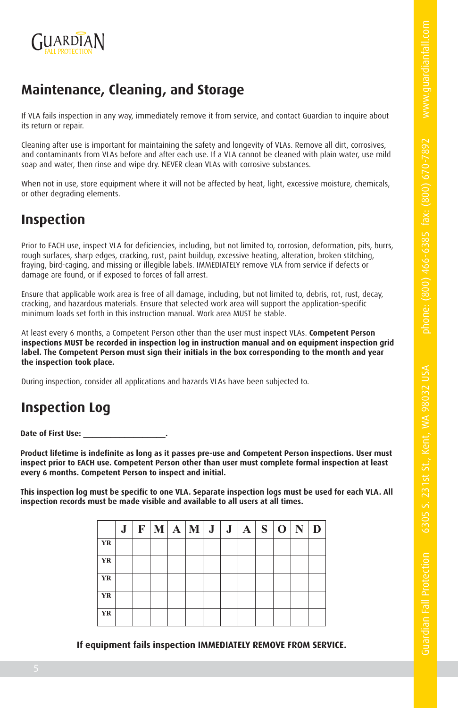

## **Maintenance, Cleaning, and Storage**

If VLA fails inspection in any way, immediately remove it from service, and contact Guardian to inquire about its return or repair.

Cleaning after use is important for maintaining the safety and longevity of VLAs. Remove all dirt, corrosives, and contaminants from VLAs before and after each use. If a VLA cannot be cleaned with plain water, use mild soap and water, then rinse and wipe dry. NEVER clean VLAs with corrosive substances.

When not in use, store equipment where it will not be affected by heat, light, excessive moisture, chemicals, or other degrading elements.

#### **Inspection**

Prior to EACH use, inspect VLA for deficiencies, including, but not limited to, corrosion, deformation, pits, burrs, rough surfaces, sharp edges, cracking, rust, paint buildup, excessive heating, alteration, broken stitching, fraying, bird-caging, and missing or illegible labels. IMMEDIATELY remove VLA from service if defects or damage are found, or if exposed to forces of fall arrest.

Ensure that applicable work area is free of all damage, including, but not limited to, debris, rot, rust, decay, cracking, and hazardous materials. Ensure that selected work area will support the application-specific minimum loads set forth in this instruction manual. Work area MUST be stable.

At least every 6 months, a Competent Person other than the user must inspect VLAs. **Competent Person inspections MUST be recorded in inspection log in instruction manual and on equipment inspection grid label. The Competent Person must sign their initials in the box corresponding to the month and year the inspection took place.**

During inspection, consider all applications and hazards VLAs have been subjected to.

#### **Inspection Log**

Date of First Use:

**Product lifetime is indefinite as long as it passes pre-use and Competent Person inspections. User must inspect prior to EACH use. Competent Person other than user must complete formal inspection at least every 6 months. Competent Person to inspect and initial.**

**This inspection log must be specific to one VLA. Separate inspection logs must be used for each VLA. All inspection records must be made visible and available to all users at all times.**

|           |    |   | . Competent Person to inspect and initial.                       |   |   |    |    |   |   |   |   | is indefinite as long as it passes pre-use and Competent Person inspections. User must :<br>EACH use. Competent Person other than user must complete formal inspection at least |
|-----------|----|---|------------------------------------------------------------------|---|---|----|----|---|---|---|---|---------------------------------------------------------------------------------------------------------------------------------------------------------------------------------|
|           |    |   | ds must be made visible and available to all users at all times. |   |   |    |    |   |   |   |   | log must be specific to one VLA. Separate inspection logs must be used for each VLA. All                                                                                        |
|           | J. | F | M                                                                | A | M | J. | J. | A | S | O | D |                                                                                                                                                                                 |
| YR.       |    |   |                                                                  |   |   |    |    |   |   |   |   |                                                                                                                                                                                 |
|           |    |   |                                                                  |   |   |    |    |   |   |   |   |                                                                                                                                                                                 |
| <b>YR</b> |    |   |                                                                  |   |   |    |    |   |   |   |   |                                                                                                                                                                                 |
| <b>YR</b> |    |   |                                                                  |   |   |    |    |   |   |   |   |                                                                                                                                                                                 |
| <b>YR</b> |    |   |                                                                  |   |   |    |    |   |   |   |   |                                                                                                                                                                                 |
| <b>YR</b> |    |   |                                                                  |   |   |    |    |   |   |   |   |                                                                                                                                                                                 |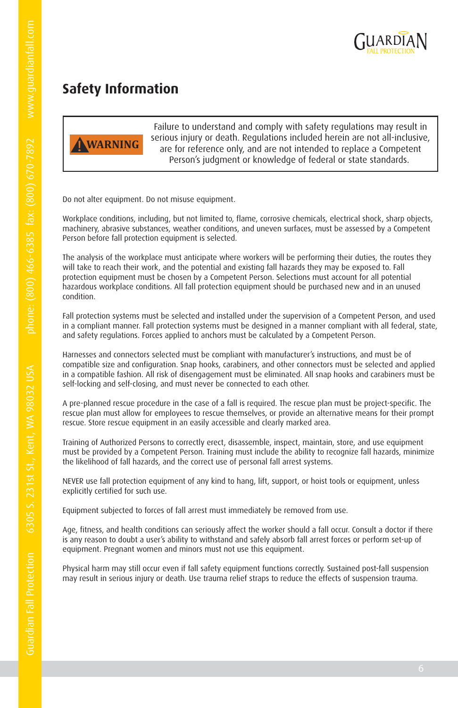

#### **Safety Information**



Failure to understand and comply with safety regulations may result in serious injury or death. Regulations included herein are not all-inclusive, are for reference only, and are not intended to replace a Competent Person's judgment or knowledge of federal or state standards.

Do not alter equipment. Do not misuse equipment.

Workplace conditions, including, but not limited to, flame, corrosive chemicals, electrical shock, sharp objects, machinery, abrasive substances, weather conditions, and uneven surfaces, must be assessed by a Competent Person before fall protection equipment is selected.

The analysis of the workplace must anticipate where workers will be performing their duties, the routes they will take to reach their work, and the potential and existing fall hazards they may be exposed to. Fall protection equipment must be chosen by a Competent Person. Selections must account for all potential hazardous workplace conditions. All fall protection equipment should be purchased new and in an unused condition.

Fall protection systems must be selected and installed under the supervision of a Competent Person, and used in a compliant manner. Fall protection systems must be designed in a manner compliant with all federal, state, and safety regulations. Forces applied to anchors must be calculated by a Competent Person.

Harnesses and connectors selected must be compliant with manufacturer's instructions, and must be of compatible size and configuration. Snap hooks, carabiners, and other connectors must be selected and applied in a compatible fashion. All risk of disengagement must be eliminated. All snap hooks and carabiners must be self-locking and self-closing, and must never be connected to each other.

A pre-planned rescue procedure in the case of a fall is required. The rescue plan must be project-specific. The rescue plan must allow for employees to rescue themselves, or provide an alternative means for their prompt rescue. Store rescue equipment in an easily accessible and clearly marked area.

Training of Authorized Persons to correctly erect, disassemble, inspect, maintain, store, and use equipment must be provided by a Competent Person. Training must include the ability to recognize fall hazards, minimize the likelihood of fall hazards, and the correct use of personal fall arrest systems.

NEVER use fall protection equipment of any kind to hang, lift, support, or hoist tools or equipment, unless explicitly certified for such use.

Equipment subjected to forces of fall arrest must immediately be removed from use.

Age, fitness, and health conditions can seriously affect the worker should a fall occur. Consult a doctor if there is any reason to doubt a user's ability to withstand and safely absorb fall arrest forces or perform set-up of equipment. Pregnant women and minors must not use this equipment.

Physical harm may still occur even if fall safety equipment functions correctly. Sustained post-fall suspension may result in serious injury or death. Use trauma relief straps to reduce the effects of suspension trauma.